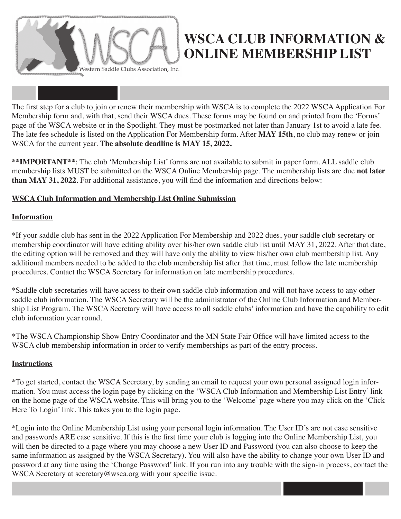

# **WSCA CLUB INFORMATION & ONLINE MEMBERSHIP LIST**

The first step for a club to join or renew their membership with WSCA is to complete the 2022 WSCA Application For Membership form and, with that, send their WSCA dues. These forms may be found on and printed from the 'Forms' page of the WSCA website or in the Spotlight. They must be postmarked not later than January 1st to avoid a late fee. The late fee schedule is listed on the Application For Membership form. After **MAY 15th**, no club may renew or join WSCA for the current year. **The absolute deadline is MAY 15, 2022.**

**\*\*IMPORTANT\*\***: The club 'Membership List' forms are not available to submit in paper form. ALL saddle club membership lists MUST be submitted on the WSCA Online Membership page. The membership lists are due **not later than MAY 31, 2022**. For additional assistance, you will find the information and directions below:

## **WSCA Club Information and Membership List Online Submission**

#### **Information**

\*If your saddle club has sent in the 2022 Application For Membership and 2022 dues, your saddle club secretary or membership coordinator will have editing ability over his/her own saddle club list until MAY 31, 2022. After that date, the editing option will be removed and they will have only the ability to view his/her own club membership list. Any additional members needed to be added to the club membership list after that time, must follow the late membership procedures. Contact the WSCA Secretary for information on late membership procedures.

\*Saddle club secretaries will have access to their own saddle club information and will not have access to any other saddle club information. The WSCA Secretary will be the administrator of the Online Club Information and Membership List Program. The WSCA Secretary will have access to all saddle clubs' information and have the capability to edit club information year round.

\*The WSCA Championship Show Entry Coordinator and the MN State Fair Office will have limited access to the WSCA club membership information in order to verify memberships as part of the entry process.

#### **Instructions**

\*To get started, contact the WSCA Secretary, by sending an email to request your own personal assigned login information. You must access the login page by clicking on the 'WSCA Club Information and Membership List Entry' link on the home page of the WSCA website. This will bring you to the 'Welcome' page where you may click on the 'Click Here To Login' link. This takes you to the login page.

\*Login into the Online Membership List using your personal login information. The User ID's are not case sensitive and passwords ARE case sensitive. If this is the first time your club is logging into the Online Membership List, you will then be directed to a page where you may choose a new User ID and Password (you can also choose to keep the same information as assigned by the WSCA Secretary). You will also have the ability to change your own User ID and password at any time using the 'Change Password' link. If you run into any trouble with the sign-in process, contact the WSCA Secretary at secretary@wsca.org with your specific issue.